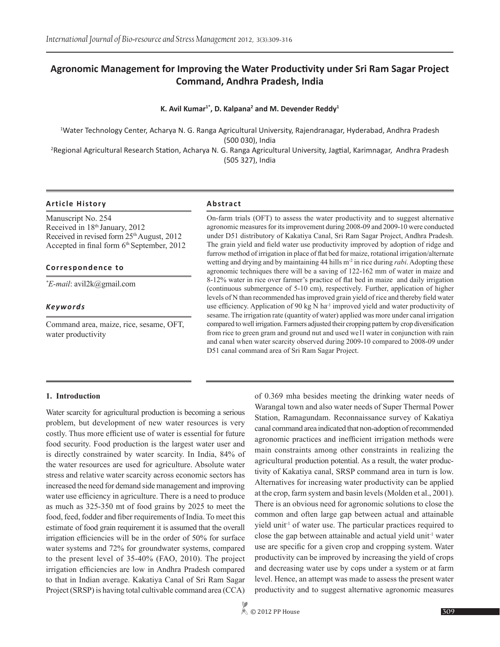# **Agronomic Management for Improving the Water Productivity under Sri Ram Sagar Project Command, Andhra Pradesh, India**

#### K. Avil Kumar<sup>1\*</sup>, D. Kalpana<sup>2</sup> and M. Devender Reddy<sup>1</sup>

1 Water Technology Center, Acharya N. G. Ranga Agricultural University, Rajendranagar, Hyderabad, Andhra Pradesh (500 030), India

2 Regional Agricultural Research Station, Acharya N. G. Ranga Agricultural University, Jagtial, Karimnagar, Andhra Pradesh (505 327), India

#### **Article History Abstract**

Manuscript No. 254 Received in 18th January, 2012 Received in revised form  $25<sup>th</sup>$  August, 2012 Accepted in final form  $6<sup>th</sup>$  September, 2012

#### **Correspondence to**

*\* E-mail*: avil2k@gmail.com

#### *Keywords*

Command area, maize, rice, sesame, OFT, water productivity

On-farm trials (OFT) to assess the water productivity and to suggest alternative agronomic measures for its improvement during 2008-09 and 2009-10 were conducted under D51 distributory of Kakatiya Canal, Sri Ram Sagar Project, Andhra Pradesh. The grain yield and field water use productivity improved by adoption of ridge and furrow method of irrigation in place of flat bed for maize, rotational irrigation/alternate wetting and drying and by maintaining 44 hills m-2 in rice during *rabi*. Adopting these agronomic techniques there will be a saving of 122-162 mm of water in maize and 8-12% water in rice over farmer's practice of flat bed in maize and daily irrigation (continuous submergence of 5-10 cm), respectively. Further, application of higher levels of N than recommended has improved grain yield of rice and thereby field water use efficiency. Application of 90 kg N ha<sup>-1</sup> improved yield and water productivity of sesame. The irrigation rate (quantity of water) applied was more under canal irrigation compared to well irrigation. Farmers adjusted their cropping pattern by crop diversification from rice to green gram and ground nut and used we1l water in conjunction with rain and canal when water scarcity observed during 2009-10 compared to 2008-09 under D51 canal command area of Sri Ram Sagar Project.

#### **1. Introduction**

Water scarcity for agricultural production is becoming a serious problem, but development of new water resources is very costly. Thus more efficient use of water is essential for future food security. Food production is the largest water user and is directly constrained by water scarcity. In India, 84% of the water resources are used for agriculture. Absolute water stress and relative water scarcity across economic sectors has increased the need for demand side management and improving water use efficiency in agriculture. There is a need to produce as much as 325-350 mt of food grains by 2025 to meet the food, feed, fodder and fiber requirements of India. To meet this estimate of food grain requirement it is assumed that the overall irrigation efficiencies will be in the order of 50% for surface water systems and 72% for groundwater systems, compared to the present level of 35-40% (FAO, 2010). The project irrigation efficiencies are low in Andhra Pradesh compared to that in Indian average. Kakatiya Canal of Sri Ram Sagar Project (SRSP) is having total cultivable command area (CCA)

of 0.369 mha besides meeting the drinking water needs of Warangal town and also water needs of Super Thermal Power Station, Ramagundam. Reconnaissance survey of Kakatiya canal command area indicated that non-adoption of recommended agronomic practices and inefficient irrigation methods were main constraints among other constraints in realizing the agricultural production potential. As a result, the water productivity of Kakatiya canal, SRSP command area in turn is low. Alternatives for increasing water productivity can be applied at the crop, farm system and basin levels (Molden et al., 2001). There is an obvious need for agronomic solutions to close the common and often large gap between actual and attainable yield unit<sup>-1</sup> of water use. The particular practices required to close the gap between attainable and actual yield unit<sup>-1</sup> water use are specific for a given crop and cropping system. Water productivity can be improved by increasing the yield of crops and decreasing water use by cops under a system or at farm level. Hence, an attempt was made to assess the present water productivity and to suggest alternative agronomic measures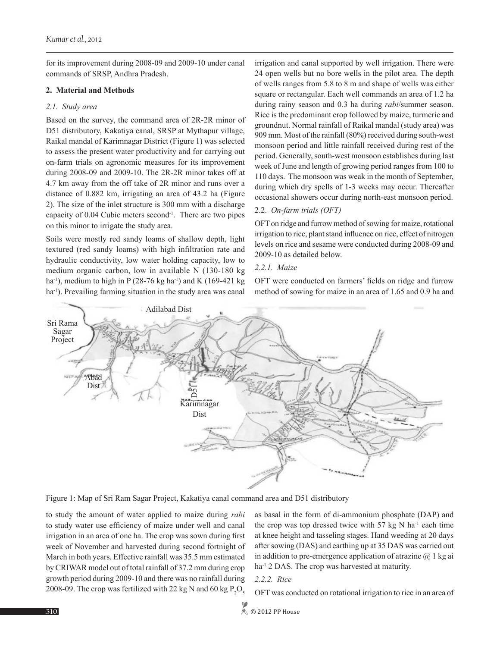for its improvement during 2008-09 and 2009-10 under canal commands of SRSP, Andhra Pradesh.

## **2. Material and Methods**

# *2.1. Study area*

Based on the survey, the command area of 2R-2R minor of D51 distributory, Kakatiya canal, SRSP at Mythapur village, Raikal mandal of Karimnagar District (Figure 1) was selected to assess the present water productivity and for carrying out on-farm trials on agronomic measures for its improvement during 2008-09 and 2009-10. The 2R-2R minor takes off at 4.7 km away from the off take of 2R minor and runs over a distance of 0.882 km, irrigating an area of 43.2 ha (Figure 2). The size of the inlet structure is 300 mm with a discharge capacity of 0.04 Cubic meters second-1. There are two pipes on this minor to irrigate the study area.

Soils were mostly red sandy loams of shallow depth, light textured (red sandy loams) with high infiltration rate and hydraulic conductivity, low water holding capacity, low to medium organic carbon, low in available N (130-180 kg ha<sup>-1</sup>), medium to high in P (28-76 kg ha<sup>-1</sup>) and K (169-421 kg ha<sup>-1</sup>). Prevailing farming situation in the study area was canal irrigation and canal supported by well irrigation. There were 24 open wells but no bore wells in the pilot area. The depth of wells ranges from 5.8 to 8 m and shape of wells was either square or rectangular. Each well commands an area of 1.2 ha during rainy season and 0.3 ha during *rabi*/summer season. Rice is the predominant crop followed by maize, turmeric and groundnut. Normal rainfall of Raikal mandal (study area) was 909 mm. Most of the rainfall (80%) received during south-west monsoon period and little rainfall received during rest of the period. Generally, south-west monsoon establishes during last week of June and length of growing period ranges from 100 to 110 days. The monsoon was weak in the month of September, during which dry spells of 1-3 weeks may occur. Thereafter occasional showers occur during north-east monsoon period.

# 2.2. *On-farm trials (OFT)*

OFT on ridge and furrow method of sowing for maize, rotational irrigation to rice, plant stand influence on rice, effect of nitrogen levels on rice and sesame were conducted during 2008-09 and 2009-10 as detailed below.

# *2.2.1. Maize*

OFT were conducted on farmers' fields on ridge and furrow method of sowing for maize in an area of 1.65 and 0.9 ha and



Figure 1: Map of Sri Ram Sagar Project, Kakatiya canal command area and D51 distributory

to study the amount of water applied to maize during *rabi* to study water use efficiency of maize under well and canal irrigation in an area of one ha. The crop was sown during first week of November and harvested during second fortnight of March in both years. Effective rainfall was 35.5 mm estimated by CRIWAR model out of total rainfall of 37.2 mm during crop growth period during 2009-10 and there was no rainfall during 2008-09. The crop was fertilized with 22 kg N and 60 kg  $P_2O_5$ 

as basal in the form of di-ammonium phosphate (DAP) and the crop was top dressed twice with 57 kg N ha<sup>-1</sup> each time at knee height and tasseling stages. Hand weeding at 20 days after sowing (DAS) and earthing up at 35 DAS was carried out in addition to pre-emergence application of atrazine  $\omega$  1 kg ai ha<sup>-1</sup> 2 DAS. The crop was harvested at maturity.



OFT was conducted on rotational irrigation to rice in an area of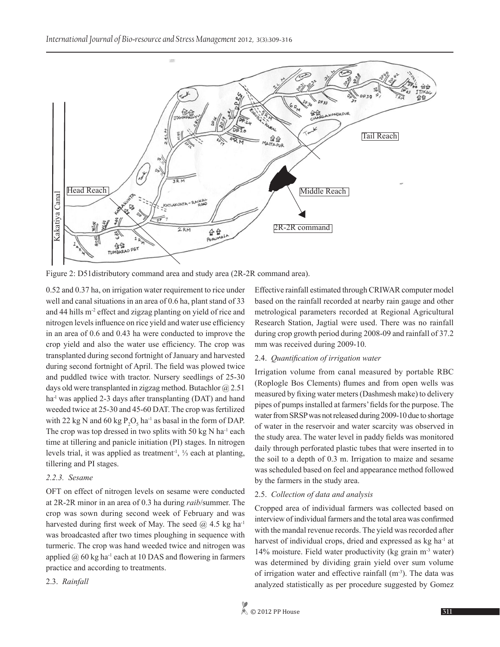

Figure 2: D51distributory command area and study area (2R-2R command area).

0.52 and 0.37 ha, on irrigation water requirement to rice under well and canal situations in an area of 0.6 ha, plant stand of 33 and 44 hills m-2 effect and zigzag planting on yield of rice and nitrogen levels influence on rice yield and water use efficiency in an area of 0.6 and 0.43 ha were conducted to improve the crop yield and also the water use efficiency. The crop was transplanted during second fortnight of January and harvested during second fortnight of April. The field was plowed twice and puddled twice with tractor. Nursery seedlings of 25-30 days old were transplanted in zigzag method. Butachlor  $\omega$  2.51 ha<sup>-l</sup> was applied 2-3 days after transplanting (DAT) and hand weeded twice at 25-30 and 45-60 DAT. The crop was fertilized with 22 kg N and 60 kg  $P_2O_5$  ha<sup>-1</sup> as basal in the form of DAP. The crop was top dressed in two splits with 50 kg N ha<sup>-1</sup> each time at tillering and panicle initiation (PI) stages. In nitrogen levels trial, it was applied as treatment<sup>-1</sup>,  $\frac{1}{3}$  each at planting, tillering and PI stages.

# *2.2.3. Sesame*

OFT on effect of nitrogen levels on sesame were conducted at 2R-2R minor in an area of 0.3 ha during *raib*/summer. The crop was sown during second week of February and was harvested during first week of May. The seed  $@$  4.5 kg ha<sup>-1</sup> was broadcasted after two times ploughing in sequence with turmeric. The crop was hand weeded twice and nitrogen was applied  $@$  60 kg ha<sup>-1</sup> each at 10 DAS and flowering in farmers practice and according to treatments.

2.3. *Rainfall*

Effective rainfall estimated through CRIWAR computer model based on the rainfall recorded at nearby rain gauge and other metrological parameters recorded at Regional Agricultural Research Station, Jagtial were used. There was no rainfall during crop growth period during 2008-09 and rainfall of 37.2 mm was received during 2009-10.

#### 2.4. *Quantification of irrigation water*

Irrigation volume from canal measured by portable RBC (Roplogle Bos Clements) flumes and from open wells was measured by fixing water meters (Dashmesh make) to delivery pipes of pumps installed at farmers' fields for the purpose. The water from SRSP was not released during 2009-10 due to shortage of water in the reservoir and water scarcity was observed in the study area. The water level in paddy fields was monitored daily through perforated plastic tubes that were inserted in to the soil to a depth of 0.3 m. Irrigation to maize and sesame was scheduled based on feel and appearance method followed by the farmers in the study area.

#### 2.5. *Collection of data and analysis*

Cropped area of individual farmers was collected based on interview of individual farmers and the total area was confirmed with the mandal revenue records. The yield was recorded after harvest of individual crops, dried and expressed as kg ha<sup>-1</sup> at 14% moisture. Field water productivity (kg grain m-3 water) was determined by dividing grain yield over sum volume of irrigation water and effective rainfall  $(m<sup>-3</sup>)$ . The data was analyzed statistically as per procedure suggested by Gomez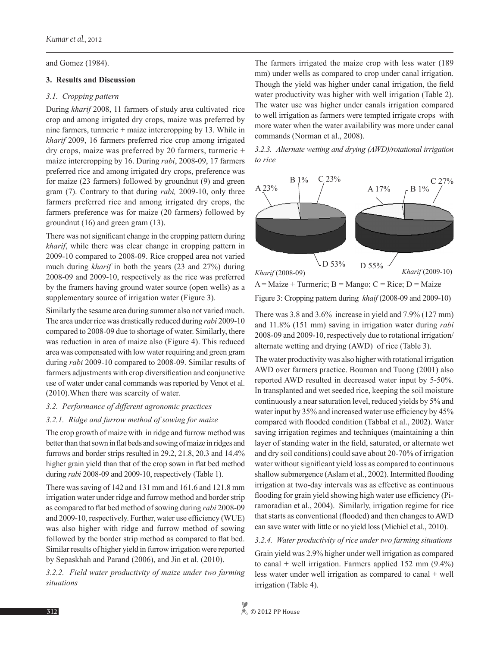and Gomez (1984).

### **3. Results and Discussion**

#### *3.1. Cropping pattern*

During *kharif* 2008, 11 farmers of study area cultivated rice crop and among irrigated dry crops, maize was preferred by nine farmers, turmeric + maize intercropping by 13. While in *kharif* 2009, 16 farmers preferred rice crop among irrigated dry crops, maize was preferred by 20 farmers, turmeric + maize intercropping by 16. During *rabi*, 2008-09, 17 farmers preferred rice and among irrigated dry crops, preference was for maize (23 farmers) followed by groundnut (9) and green gram (7). Contrary to that during *rabi,* 2009-10, only three farmers preferred rice and among irrigated dry crops, the farmers preference was for maize (20 farmers) followed by groundnut (16) and green gram (13).

There was not significant change in the cropping pattern during *kharif*, while there was clear change in cropping pattern in 2009-10 compared to 2008-09. Rice cropped area not varied much during *kharif* in both the years (23 and 27%) during 2008-09 and 2009-10, respectively as the rice was preferred by the framers having ground water source (open wells) as a supplementary source of irrigation water (Figure 3).

Similarly the sesame area during summer also not varied much. The area under rice was drastically reduced during *rabi* 2009-10 compared to 2008-09 due to shortage of water. Similarly, there was reduction in area of maize also (Figure 4). This reduced area was compensated with low water requiring and green gram during *rabi* 2009-10 compared to 2008-09. Similar results of farmers adjustments with crop diversification and conjunctive use of water under canal commands was reported by Venot et al. (2010).When there was scarcity of water.

#### *3.2. Performance of different agronomic practices*

#### *3.2.1. Ridge and furrow method of sowing for maize*

The crop growth of maize with in ridge and furrow method was better than that sown in flat beds and sowing of maize in ridges and furrows and border strips resulted in 29.2, 21.8, 20.3 and 14.4% higher grain yield than that of the crop sown in flat bed method during *rabi* 2008-09 and 2009-10, respectively (Table 1).

There was saving of 142 and 131 mm and 161.6 and 121.8 mm irrigation water under ridge and furrow method and border strip as compared to flat bed method of sowing during *rabi* 2008-09 and 2009-10, respectively. Further, water use efficiency (WUE) was also higher with ridge and furrow method of sowing followed by the border strip method as compared to flat bed. Similar results of higher yield in furrow irrigation were reported by Sepaskhah and Parand (2006), and Jin et al. (2010).

*3.2.2. Field water productivity of maize under two farming situations*

The farmers irrigated the maize crop with less water (189 mm) under wells as compared to crop under canal irrigation. Though the yield was higher under canal irrigation, the field water productivity was higher with well irrigation (Table 2). The water use was higher under canals irrigation compared to well irrigation as farmers were tempted irrigate crops with more water when the water availability was more under canal commands (Norman et al., 2008).





Figure 3: Cropping pattern during *khaif* (2008-09 and 2009-10)  $A = Maize + Turrence$ ;  $B = Mango$ ;  $C = Rice$ ;  $D = Maize$ 

There was 3.8 and 3.6% increase in yield and 7.9% (127 mm) and 11.8% (151 mm) saving in irrigation water during *rabi* 2008-09 and 2009-10, respectively due to rotational irrigation/ alternate wetting and drying (AWD) of rice (Table 3).

The water productivity was also higher with rotational irrigation AWD over farmers practice. Bouman and Tuong (2001) also reported AWD resulted in decreased water input by 5-50%. In transplanted and wet seeded rice, keeping the soil moisture continuously a near saturation level, reduced yields by 5% and water input by 35% and increased water use efficiency by 45% compared with flooded condition (Tabbal et al., 2002). Water saving irrigation regimes and techniques (maintaining a thin layer of standing water in the field, saturated, or alternate wet and dry soil conditions) could save about 20-70% of irrigation water without significant yield loss as compared to continuous shallow submergence (Aslam et al., 2002). Intermitted flooding irrigation at two-day intervals was as effective as continuous flooding for grain yield showing high water use efficiency (Piramoradian et al., 2004). Similarly, irrigation regime for rice that starts as conventional (flooded) and then changes to AWD can save water with little or no yield loss (Michiel et al., 2010).

#### *3.2.4. Water productivity of rice under two farming situations*

Grain yield was 2.9% higher under well irrigation as compared to canal  $+$  well irrigation. Farmers applied 152 mm  $(9.4\%)$ less water under well irrigation as compared to canal + well irrigation (Table 4).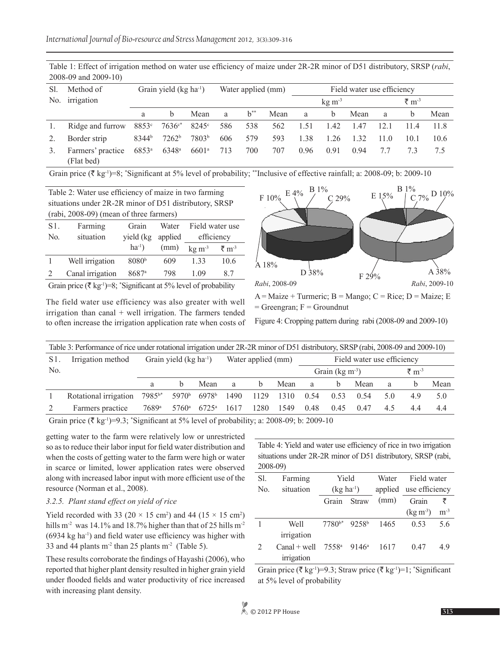| Sl. | Method of                       | Grain yield $(kg ha-1)$ |                   |                   | Water applied (mm) |          |      | Field water use efficiency |            |      |                   |      |      |
|-----|---------------------------------|-------------------------|-------------------|-------------------|--------------------|----------|------|----------------------------|------------|------|-------------------|------|------|
|     | No. irrigation                  |                         |                   |                   |                    |          |      |                            | $kg \, m3$ |      | ₹ m <sup>-3</sup> |      |      |
|     |                                 | a                       |                   | Mean              | a                  | $b^{**}$ | Mean | a                          | b          | Mean | a                 | b    | Mean |
|     | Ridge and furrow                | 8853c                   | $7636c*$          | $8245^{\circ}$    | 586                | 538      | 562  | 1.51                       | 1.42       | 1.47 | 12.1              | 11.4 | 11.8 |
|     | Border strip                    | 8344 <sup>b</sup>       | 7262 <sup>b</sup> | 7803 <sup>b</sup> | 606                | 579      | 593  | 1.38                       | 1.26       | 1.32 | 11.0              | 10.1 | 10.6 |
|     | Farmers' practice<br>(Flat bed) | $6853^{\circ}$          | $6348^{\rm a}$    | $6601^{\circ}$    | 713                | 700      | 707  | 0.96                       | 0.91       | 0.94 | 7.7               |      | 75   |

Table 1: Effect of irrigation method on water use efficiency of maize under 2R-2R minor of D51 distributory, SRSP (*rabi*, 2008-09 and 2009-10)

Grain price ( $\bar{\tau}$  kg<sup>-1</sup>)=8; \*Significant at 5% level of probability; \*\*Inclusive of effective rainfall; a: 2008-09; b: 2009-10

Table 2: Water use efficiency of maize in two farming situations under 2R-2R minor of D51 distributory, SRSP (rabi, 2008-09) (mean of three farmers)

| S <sub>1</sub> . | Farming          | Grain             | Water   | Field water use |                                    |  |
|------------------|------------------|-------------------|---------|-----------------|------------------------------------|--|
| No.              | situation        | yield (kg)        | applied |                 | efficiency                         |  |
|                  |                  | $ha^{-1}$ )       | (mm)    | $kg \, m^{-3}$  | $\bar{\mathbf{z}}$ m <sup>-3</sup> |  |
|                  | Well irrigation  | 8080 <sup>b</sup> | 609     | 1 33            | 10.6                               |  |
|                  | Canal irrigation | 8687 <sup>a</sup> | 798     | 1 09            | 87                                 |  |
|                  |                  |                   |         |                 |                                    |  |

Grain price ( $\bar{\tau}$  kg<sup>-1</sup>)=8; \*Significant at 5% level of probability

The field water use efficiency was also greater with well irrigation than canal + well irrigation. The farmers tended to often increase the irrigation application rate when costs of



 $A = Maize + Turrence$ ;  $B = Mango$ ;  $C = Rice$ ;  $D = Maize$ ;  $E$  $=$  Greengran;  $F =$  Groundnut

Figure 4: Cropping pattern during rabi (2008-09 and 2009-10)

|     | Table 3: Performance of rice under rotational irrigation under 2R-2R minor of D51 distributory, SRSP (rabi, 2008-09 and 2009-10) |                    |                         |                   |                    |      |      |                            |                            |      |     |                              |      |
|-----|----------------------------------------------------------------------------------------------------------------------------------|--------------------|-------------------------|-------------------|--------------------|------|------|----------------------------|----------------------------|------|-----|------------------------------|------|
| S1. | Irrigation method                                                                                                                |                    | Grain yield $(kg ha-1)$ |                   | Water applied (mm) |      |      | Field water use efficiency |                            |      |     |                              |      |
| No. |                                                                                                                                  |                    |                         |                   |                    |      |      |                            | Grain $(\text{kg m}^{-3})$ |      |     | $\bar{\tau}$ m <sup>-3</sup> |      |
|     |                                                                                                                                  | a                  | <sub>h</sub>            | Mean              | a                  | b.   | Mean | a                          | <sub>h</sub>               | Mean | a   | h                            | Mean |
|     | Rotational irrigation                                                                                                            | 7985 <sup>b*</sup> | 5970 <sup>b</sup>       | 6978 <sup>b</sup> | 1490               | 1129 | 1310 | 0.54                       | 0.53                       | 0.54 | 5 O | 4.9                          | 5.0  |
|     | Farmers practice                                                                                                                 | 7689ª              | 5760 <sup>a</sup>       | $6725^{\circ}$    | 1617               | 1280 | 1549 | 0.48                       | 0.45                       | 0.47 | 45  | 44                           | 44   |

Grain price ( $\bar{\tau}$  kg<sup>-1</sup>)=9.3; \*Significant at 5% level of probability; a: 2008-09; b: 2009-10

getting water to the farm were relatively low or unrestricted so as to reduce their labor input for field water distribution and when the costs of getting water to the farm were high or water in scarce or limited, lower application rates were observed along with increased labor input with more efficient use of the resource (Norman et al., 2008).

# *3.2.5. Plant stand effect on yield of rice*

Yield recorded with 33 ( $20 \times 15$  cm<sup>2</sup>) and 44 ( $15 \times 15$  cm<sup>2</sup>) hills m<sup>-2</sup> was 14.1% and 18.7% higher than that of 25 hills m<sup>-2</sup>  $(6934 \text{ kg ha}^{-1})$  and field water use efficiency was higher with 33 and 44 plants  $m<sup>2</sup>$  than 25 plants  $m<sup>2</sup>$  (Table 5).

These results corroborate the findings of Hayashi (2006), who reported that higher plant density resulted in higher grain yield under flooded fields and water productivity of rice increased with increasing plant density.

Table 4: Yield and water use efficiency of rice in two irrigation situations under 2R-2R minor of D51 distributory, SRSP (rabi, 2008-09)

| Sl.            | Farming                      | Yield                               |              | Water | Field water            |          |  |
|----------------|------------------------------|-------------------------------------|--------------|-------|------------------------|----------|--|
| N <sub>0</sub> | situation                    | $(kg ha^{-1})$                      |              |       | applied use efficiency |          |  |
|                |                              | Grain                               | <b>Straw</b> | (mm)  | Grain                  | ₹        |  |
|                |                              |                                     |              |       | $(\text{kg m}^3)$      | $m^{-3}$ |  |
|                | Well                         | $7780^{b*}$                         | 9258b        | 1465  | 0.53                   | 5.6      |  |
|                | irrigation                   |                                     |              |       |                        |          |  |
| $\mathcal{L}$  | $Canal + well$<br>irrigation | 7558 <sup>a</sup> 9146 <sup>a</sup> |              | 1617  | 0.47                   | 49       |  |

Grain price ( $\bar{\tau}$  kg<sup>-1</sup>)=9.3; Straw price ( $\bar{\tau}$  kg<sup>-1</sup>)=1; \*Significant at 5% level of probability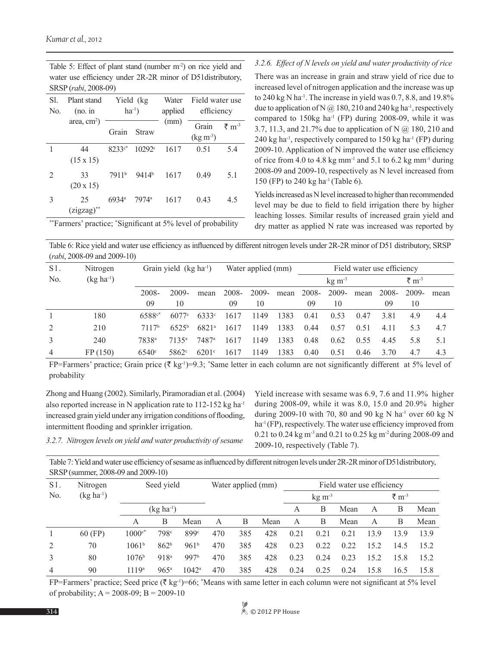| SI.<br>N <sub>0</sub> | Plant stand<br>$(no.$ in |                   | Yield (kg)<br>$ha^{-1}$ ) | Water<br>applied | Field water use<br>efficiency |                              |  |  |
|-----------------------|--------------------------|-------------------|---------------------------|------------------|-------------------------------|------------------------------|--|--|
|                       | area, $cm2$ )            | Straw<br>Grain    |                           | (mm)             | Grain<br>$(\text{kg m}^3)$    | $\bar{\tau}$ m <sup>-3</sup> |  |  |
| 1                     | 44<br>$(15 \times 15)$   | $8233c*$          | 10292 <sup>c</sup>        | 1617             | 0.51                          | 5.4                          |  |  |
| 2                     | 33<br>$(20 \times 15)$   | 7911 <sup>b</sup> | 9414 <sup>b</sup>         | 1617             | 0.49                          | 5.1                          |  |  |
| 3                     | 25<br>(zigzag)**         | 6934 <sup>a</sup> | 7974 <sup>a</sup>         | 1617             | 0.43                          | 4.5                          |  |  |

Table 5: Effect of plant stand (number m<sup>-2</sup>) on rice yield and water use efficiency under 2R-2R minor of D51distributory, SRSP (*rabi*, 2008-09)

#### *3.2.6. Effect of N levels on yield and water productivity of rice*

There was an increase in grain and straw yield of rice due to increased level of nitrogen application and the increase was up to 240 kg N ha<sup>-1</sup>. The increase in yield was 0.7, 8.8, and 19.8% due to application of N  $@180, 210$  and 240 kg ha<sup>-1</sup>, respectively compared to  $150\text{kg}$  ha<sup>-1</sup> (FP) during 2008-09, while it was 3.7, 11.3, and 21.7% due to application of N @ 180, 210 and 240 kg ha<sup>-1</sup>, respectively compared to  $150$  kg ha<sup>-1</sup> (FP) during 2009-10. Application of N improved the water use efficiency of rice from 4.0 to 4.8 kg mm<sup>-1</sup> and 5.1 to 6.2 kg mm<sup>-1</sup> during 2008-09 and 2009-10, respectively as N level increased from 150 (FP) to 240 kg ha-1 (Table 6).

Yields increased as N level increased to higher than recommended level may be due to field to field irrigation there by higher leaching losses. Similar results of increased grain yield and dry matter as applied N rate was increased was reported by

\*\*Farmers' practice; \* Significant at 5% level of probability

Table 6: Rice yield and water use efficiency as influenced by different nitrogen levels under 2R-2R minor of D51 distributory, SRSP (*rabi*, 2008-09 and 2009-10)

| $S1$ .         | Nitrogen       | Grain yield (kg ha <sup>-1</sup> ) |                     |                     | Water applied (mm) |          |      | Field water use efficiency |                       |      |        |       |      |
|----------------|----------------|------------------------------------|---------------------|---------------------|--------------------|----------|------|----------------------------|-----------------------|------|--------|-------|------|
| N <sub>0</sub> | $(kg ha^{-1})$ |                                    |                     |                     |                    |          |      |                            | $kg \, \text{m}^{-3}$ |      | ₹ $m3$ |       |      |
|                |                | 2008-                              | 2009-               | mean                | 2008-              | $2009 -$ | mean | 2008-                      | $2009 -$              | mean | -2008- | 2009- | mean |
|                |                | 09                                 | 10                  |                     | 09                 | 10       |      | 09                         | 10                    |      | 09     | 10    |      |
|                | 180            | 6588 <sup>c*</sup>                 | 6077c               | 6333 <sup>c</sup>   | 1617               | 1149     | 1383 | 0.41                       | 0.53                  | 0.47 | 3.81   | 4.9   | 4.4  |
| 2              | 210            | 7117 <sup>b</sup>                  | $6525^{b}$          | $6821^a$            | 1617               | 1149     | 1383 | 0.44                       | 0.57                  | 0.51 | 4.11   | 5.3   | 4.7  |
| 3              | 240            | 7838ª                              | 7135 <sup>a</sup>   | 7487a               | 1617               | 1149     | 1383 | 0.48                       | 0.62                  | 0.55 | 4.45   | 5.8   | 5.1  |
| $\overline{4}$ | FP(150)        | 6540°                              | $5862$ <sup>c</sup> | $6201$ <sup>c</sup> | 1617               | 1149     | 1383 | 0.40                       | 0.51                  | 0.46 | 3.70   | 4.7   | 4.3  |

FP=Farmers' practice; Grain price ( $\bar{\tau}$  kg<sup>-1</sup>)=9.3; 'Same letter in each column are not significantly different at 5% level of probability

Zhong and Huang (2002). Similarly, Piramoradian et al. (2004) also reported increase in N application rate to 112-152 kg ha-1 increased grain yield under any irrigation conditions of flooding, intermittent flooding and sprinkler irrigation.

Yield increase with sesame was 6.9, 7.6 and 11.9% higher during 2008-09, while it was 8.0, 15.0 and 20.9% higher during 2009-10 with 70, 80 and 90 kg N ha<sup>-1</sup> over 60 kg N ha<sup>-1</sup> (FP), respectively. The water use efficiency improved from 0.21 to 0.24 kg m-3 and 0.21 to 0.25 kg m-2 during 2008-09 and 2009-10, respectively (Table 7).

*3.2.7. Nitrogen levels on yield and water productivity of sesame*

Table 7: Yield and water use efficiency of sesame as influenced by different nitrogen levels under 2R-2R minor of D51distributory, SRSP (summer, 2008-09 and 2009-10)

| $S1$ .         | Nitrogen       | Seed yield        |                  |                  | Water applied (mm) |     |      | Field water use efficiency |      |      |         |      |      |
|----------------|----------------|-------------------|------------------|------------------|--------------------|-----|------|----------------------------|------|------|---------|------|------|
| No.            | $(kg ha^{-1})$ |                   |                  |                  |                    |     |      | $kg \, m^{-3}$             |      |      | ₹ $m-3$ |      |      |
|                |                | $(kg ha^{-1})$    |                  |                  |                    |     |      | А                          | B    | Mean | А       | В    | Mean |
|                |                | A                 | B                | Mean             | A                  | B   | Mean | A                          | B    | Mean | A       | B    | Mean |
|                | 60 (FP)        | $1000c*$          | 798 <sup>c</sup> | 899c             | 470                | 385 | 428  | 0.21                       | 0.21 | 0.21 | 13.9    | 13.9 | 13.9 |
| 2              | 70             | 1061 <sup>b</sup> | 862 <sup>b</sup> | 961 <sup>b</sup> | 470                | 385 | 428  | 0.23                       | 0.22 | 0.22 | 15.2    | 14.5 | 15.2 |
| 3              | 80             | 1076 <sup>b</sup> | 918 <sup>a</sup> | 997b             | 470                | 385 | 428  | 0.23                       | 0.24 | 0.23 | 15.2    | 15.8 | 15.2 |
| $\overline{4}$ | 90             | 1119 <sup>a</sup> | $965^{\rm a}$    | $1042^a$         | 470                | 385 | 428  | 0.24                       | 0.25 | 0.24 | 15.8    | 16.5 | 15.8 |

FP=Farmers' practice; Seed price ( $\bar{\tau}$  kg<sup>-1</sup>)=66; \*Means with same letter in each column were not significant at 5% level of probability;  $A = 2008-09$ ;  $B = 2009-10$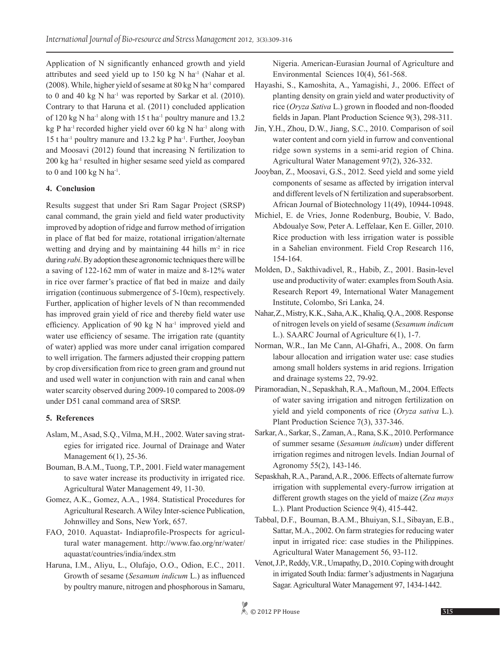Application of N significantly enhanced growth and yield attributes and seed yield up to  $150 \text{ kg N}$  ha<sup>-1</sup> (Nahar et al. (2008). While, higher yield of sesame at  $80 \text{ kg N}$  ha<sup>-1</sup> compared to 0 and 40 kg N ha<sup>-1</sup> was reported by Sarkar et al.  $(2010)$ . Contrary to that Haruna et al. (2011) concluded application of 120 kg N ha<sup>-1</sup> along with 15 t ha<sup>-1</sup> poultry manure and 13.2 kg P ha<sup>-1</sup> recorded higher yield over 60 kg N ha<sup>-1</sup> along with 15 t ha<sup>-1</sup> poultry manure and 13.2 kg P ha<sup>-1</sup>. Further, Jooyban and Moosavi (2012) found that increasing N fertilization to 200 kg ha-1 resulted in higher sesame seed yield as compared to 0 and 100 kg N ha<sup>-1</sup>.

# **4. Conclusion**

Results suggest that under Sri Ram Sagar Project (SRSP) canal command, the grain yield and field water productivity improved by adoption of ridge and furrow method of irrigation in place of flat bed for maize, rotational irrigation/alternate wetting and drying and by maintaining  $44$  hills m<sup>-2</sup> in rice during *rabi*. By adoption these agronomic techniques there will be a saving of 122-162 mm of water in maize and 8-12% water in rice over farmer's practice of flat bed in maize and daily irrigation (continuous submergence of 5-10cm), respectively. Further, application of higher levels of N than recommended has improved grain yield of rice and thereby field water use efficiency. Application of 90 kg  $N$  ha<sup>-1</sup> improved yield and water use efficiency of sesame. The irrigation rate (quantity of water) applied was more under canal irrigation compared to well irrigation. The farmers adjusted their cropping pattern by crop diversification from rice to green gram and ground nut and used well water in conjunction with rain and canal when water scarcity observed during 2009-10 compared to 2008-09 under D51 canal command area of SRSP.

# **5. References**

- Aslam, M., Asad, S.Q., Vilma, M.H., 2002. Water saving strategies for irrigated rice. Journal of Drainage and Water Management 6(1), 25-36.
- Bouman, B.A.M., Tuong, T.P., 2001. Field water management to save water increase its productivity in irrigated rice. Agricultural Water Management 49, 11-30.
- Gomez, A.K., Gomez, A.A., 1984. Statistical Procedures for Agricultural Research. A Wiley Inter-science Publication, Johnwilley and Sons, New York, 657.
- FAO, 2010. Aquastat- Indiaprofile-Prospects for agricultural water management. http://www.fao.org/nr/water/ aquastat/countries/india/index.stm
- Haruna, I.M., Aliyu, L., Olufajo, O.O., Odion, E.C., 2011. Growth of sesame (*Sesamum indicum* L.) as influenced by poultry manure, nitrogen and phosphorous in Samaru,

Nigeria. American-Eurasian Journal of Agriculture and Environmental Sciences 10(4), 561-568.

- Hayashi, S., Kamoshita, A., Yamagishi, J., 2006. Effect of planting density on grain yield and water productivity of rice (*Oryza Sativa* L.) grown in flooded and non-flooded fields in Japan. Plant Production Science 9(3), 298-311.
- Jin, Y.H., Zhou, D.W., Jiang, S.C., 2010. Comparison of soil water content and corn yield in furrow and conventional ridge sown systems in a semi-arid region of China. Agricultural Water Management 97(2), 326-332.
- Jooyban, Z., Moosavi, G.S., 2012. Seed yield and some yield components of sesame as affected by irrigation interval and different levels of N fertilization and superabsorbent. African Journal of Biotechnology 11(49), 10944-10948.
- Michiel, E. de Vries, Jonne Rodenburg, Boubie, V. Bado, Abdoualye Sow, Peter A. Leffelaar, Ken E. Giller, 2010. Rice production with less irrigation water is possible in a Sahelian environment. Field Crop Research 116, 154-164.
- Molden, D., Sakthivadivel, R., Habib, Z., 2001. Basin-level use and productivity of water: examples from South Asia. Research Report 49, International Water Management Institute, Colombo, Sri Lanka, 24.
- Nahar,Z., Mistry, K.K., Saha, A.K., Khaliq, Q.A., 2008. Response of nitrogen levels on yield of sesame (*Sesamum indicum* L.). SAARC Journal of Agriculture 6(1), 1-7.
- Norman, W.R., Ian Me Cann, Al-Ghafri, A., 2008. On farm labour allocation and irrigation water use: case studies among small holders systems in arid regions. Irrigation and drainage systems 22, 79-92.
- Piramoradian, N., Sepaskhah, R.A., Maftoun, M., 2004. Effects of water saving irrigation and nitrogen fertilization on yield and yield components of rice (*Oryza sativa* L.). Plant Production Science 7(3), 337-346.
- Sarkar, A., Sarkar, S., Zaman, A., Rana, S.K., 2010. Performance of summer sesame (*Sesamum indicum*) under different irrigation regimes and nitrogen levels. Indian Journal of Agronomy 55(2), 143-146.
- Sepaskhah, R.A., Parand, A.R., 2006. Effects of alternate furrow irrigation with supplemental every-furrow irrigation at different growth stages on the yield of maize (*Zea mays* L.). Plant Production Science 9(4), 415-442.
- Tabbal, D.F., Bouman, B.A.M., Bhuiyan, S.I., Sibayan, E.B., Sattar, M.A., 2002. On farm strategies for reducing water input in irrigated rice: case studies in the Philippines. Agricultural Water Management 56, 93-112.
- Venot, J.P., Reddy, V.R., Umapathy, D., 2010. Coping with drought in irrigated South India: farmer's adjustments in Nagarjuna Sagar. Agricultural Water Management 97, 1434-1442.